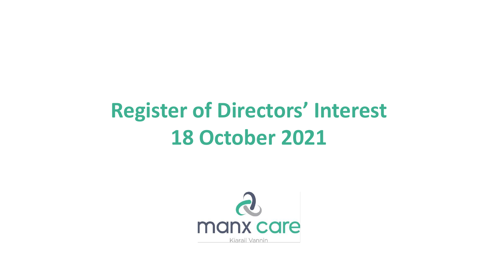## **Register of Directors' Interest 18 October 2021**

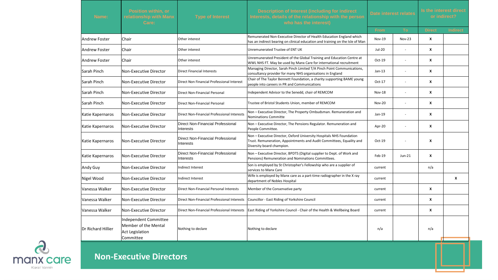| Name:               | <b>Position within, or</b><br>relationship with Manx<br>Care:                 | <b>Type of Interest</b>                               | Description of Interest (including for indirect<br>Interests, details of the relationship with the person<br>who has the interest)                                        | Date interest relates |                          | Is the interest direct<br>or indirect? |                 |
|---------------------|-------------------------------------------------------------------------------|-------------------------------------------------------|---------------------------------------------------------------------------------------------------------------------------------------------------------------------------|-----------------------|--------------------------|----------------------------------------|-----------------|
|                     |                                                                               |                                                       |                                                                                                                                                                           | <b>From</b>           | To                       | <b>Direct</b>                          | <b>Indirect</b> |
| Andrew Foster       | Chair                                                                         | Other interest                                        | Remunerated Non-Executive Director of Health Education England which<br>has an indirect bearing on clinical education and training on the Isle of Man                     | Nov-19                | <b>Nov-23</b>            | X                                      |                 |
| Andrew Foster       | Chair                                                                         | Other interest                                        | Unremunerated Trustee of ENT UK                                                                                                                                           | Jul-20                | ä,                       | X                                      |                 |
| lAndrew Foster      | Chair                                                                         | Other interest                                        | Unremunerated President of the Global Training and Education Centre at<br>WWL NHS FT. May be used by Manx Care for international recruitment                              | Oct-19                | $\mathbf{r}$             | X                                      |                 |
| Sarah Pinch         | Non-Executive Director                                                        | <b>Direct Financial Interests</b>                     | Managing Director, Sarah Pinch Limited T/A Pinch Point Communications,<br>consultancy provider for many NHS organisations in England                                      | $Jan-13$              | ä,                       | X                                      |                 |
| lSarah Pinch        | Non-Executive Director                                                        | Direct Non Financial Professional Interest            | Chair of The Taylor Bennett Foundation, a charity supporting BAME young<br>people into careers in PR and Communications                                                   | Oct-17                |                          | X                                      |                 |
| Sarah Pinch         | Non-Executive Director                                                        | Direct Non-Financial Personal                         | Independent Advisor to the Senedd, chair of REMCOM                                                                                                                        | Nov-18                |                          | x                                      |                 |
| <b>Sarah Pinch</b>  | Non-Executive Director                                                        | Direct Non-Financial Personal                         | Trustee of Bristol Students Union, member of REMCOM                                                                                                                       | <b>Nov-20</b>         | $\sim$                   | X                                      |                 |
| Katie Kapernaros    | Non-Executive Director                                                        | Direct Non-Financial Professional Interests           | Non - Executive Director, The Property Ombudsman. Remuneration and<br><b>Nominations Committe</b>                                                                         | Jan-19                | $\overline{\phantom{a}}$ | X                                      |                 |
| Katie Kapernaros    | Non-Executive Director                                                        | Direct Non-Financial Professional<br>Interests        | Non - Executive Director, The Pensions Regulator. Remuneration and<br>People Committee.                                                                                   | Apr-20                | ٠                        | X                                      |                 |
| Katie Kapernaros    | Non-Executive Director                                                        | <b>Direct Non-Financial Professional</b><br>Interests | Non - Executive Director, Oxford University Hospitals NHS Foundation<br>Trust. Remuneration, Appointments and Audit Committees, Equality and<br>Diversity board champion. | Oct-19                |                          | x                                      |                 |
| Katie Kapernaros    | Non-Executive Director                                                        | Direct Non-Financial Professional<br>Interests        | Non - Executive Director, BPDTS (Digital supplier to Dept. of Work and<br>Pensions) Remuneration and Nominations Committees.                                              | Feb-19                | $Jun-21$                 | X                                      |                 |
| Andy Guy            | Non-Executive Director                                                        | <b>Indirect Interest</b>                              | Son is employed by St Christopher's Fellowship who are a supplier of<br>services to Manx Care                                                                             | current               |                          | n/a                                    |                 |
| Nigel Wood          | Non-Executive Director                                                        | Indirect Interest                                     | Wife is employed by Manx care as a part-time radiographer in the X ray<br>department of Nobles Hospital                                                                   | current               |                          |                                        | X               |
| Vanessa Walker      | Non-Executive Director                                                        | Direct Non-Financial Personal Interests               | Member of the Conservative party                                                                                                                                          | current               |                          | X                                      |                 |
| Vanessa Walker      | Non-Executive Director                                                        | Direct Non-Financial Professional Interests           | Councillor - East Riding of Yorkshire Council                                                                                                                             | current               |                          | X                                      |                 |
| Vanessa Walker      | Non-Executive Director                                                        | Direct Non-Financial Professional Interests           | East Riding of Yorkshire Council - Chair of the Health & Wellbeing Board                                                                                                  | current               |                          | x                                      |                 |
| lDr Richard Hillier | Independent Committee<br>Member of the Mental<br>Act Legislation<br>Committee | Nothing to declare                                    | Nothing to declare                                                                                                                                                        | n/a                   |                          | n/a                                    |                 |